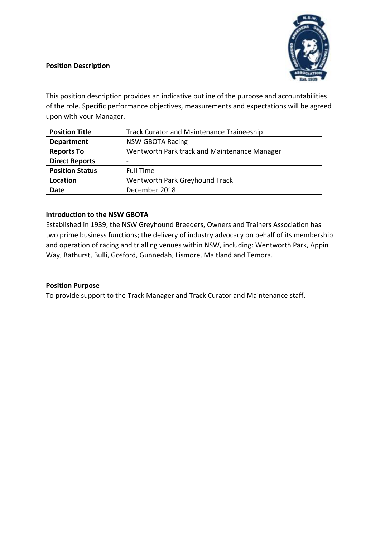### **Position Description**



This position description provides an indicative outline of the purpose and accountabilities of the role. Specific performance objectives, measurements and expectations will be agreed upon with your Manager.

| <b>Position Title</b>  | <b>Track Curator and Maintenance Traineeship</b> |
|------------------------|--------------------------------------------------|
| <b>Department</b>      | <b>NSW GBOTA Racing</b>                          |
| <b>Reports To</b>      | Wentworth Park track and Maintenance Manager     |
| <b>Direct Reports</b>  |                                                  |
| <b>Position Status</b> | Full Time                                        |
| Location               | Wentworth Park Greyhound Track                   |
| <b>Date</b>            | December 2018                                    |

### **Introduction to the NSW GBOTA**

Established in 1939, the NSW Greyhound Breeders, Owners and Trainers Association has two prime business functions; the delivery of industry advocacy on behalf of its membership and operation of racing and trialling venues within NSW, including: Wentworth Park, Appin Way, Bathurst, Bulli, Gosford, Gunnedah, Lismore, Maitland and Temora.

### **Position Purpose**

To provide support to the Track Manager and Track Curator and Maintenance staff.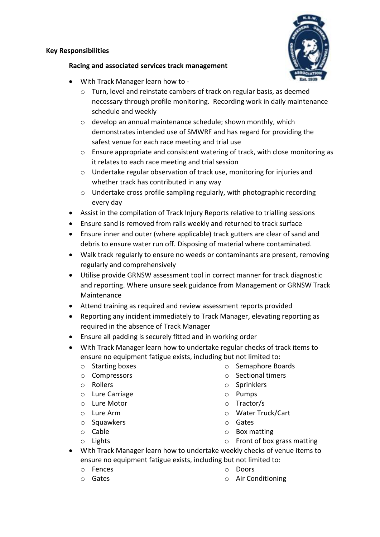#### **Key Responsibilities**



### **Racing and associated services track management**

- With Track Manager learn how to
	- o Turn, level and reinstate cambers of track on regular basis, as deemed necessary through profile monitoring. Recording work in daily maintenance schedule and weekly
	- o develop an annual maintenance schedule; shown monthly, which demonstrates intended use of SMWRF and has regard for providing the safest venue for each race meeting and trial use
	- o Ensure appropriate and consistent watering of track, with close monitoring as it relates to each race meeting and trial session
	- o Undertake regular observation of track use, monitoring for injuries and whether track has contributed in any way
	- $\circ$  Undertake cross profile sampling regularly, with photographic recording every day
- Assist in the compilation of Track Injury Reports relative to trialling sessions
- Ensure sand is removed from rails weekly and returned to track surface
- Ensure inner and outer (where applicable) track gutters are clear of sand and debris to ensure water run off. Disposing of material where contaminated.
- Walk track regularly to ensure no weeds or contaminants are present, removing regularly and comprehensively
- Utilise provide GRNSW assessment tool in correct manner for track diagnostic and reporting. Where unsure seek guidance from Management or GRNSW Track Maintenance
- Attend training as required and review assessment reports provided
- Reporting any incident immediately to Track Manager, elevating reporting as required in the absence of Track Manager
- Ensure all padding is securely fitted and in working order
- With Track Manager learn how to undertake regular checks of track items to ensure no equipment fatigue exists, including but not limited to:
	- o Starting boxes
	- o Compressors
	- o Rollers
	- o Lure Carriage
	- o Lure Motor
	- o Lure Arm
	- o Squawkers
	- o Cable
	- o Lights
- o Semaphore Boards
- o Sectional timers
- o Sprinklers
- o Pumps
- o Tractor/s
- o Water Truck/Cart
- o Gates
- o Box matting
- o Front of box grass matting
- With Track Manager learn how to undertake weekly checks of venue items to ensure no equipment fatigue exists, including but not limited to:
	- o Fences
	- o Gates
- o Doors
- o Air Conditioning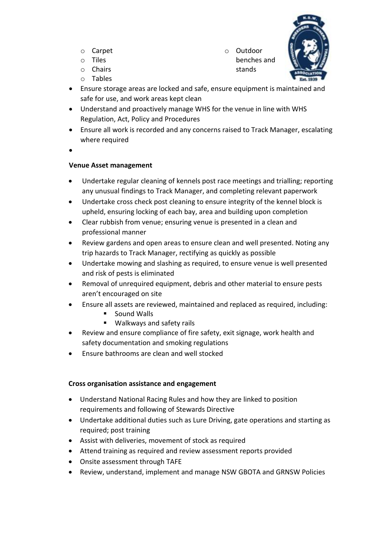- o Carpet
- o Tiles
- o Chairs o Tables

o Outdoor benches and stands



- Ensure storage areas are locked and safe, ensure equipment is maintained and safe for use, and work areas kept clean
- Understand and proactively manage WHS for the venue in line with WHS Regulation, Act, Policy and Procedures
- Ensure all work is recorded and any concerns raised to Track Manager, escalating where required
- $\bullet$

# **Venue Asset management**

- Undertake regular cleaning of kennels post race meetings and trialling; reporting any unusual findings to Track Manager, and completing relevant paperwork
- Undertake cross check post cleaning to ensure integrity of the kennel block is upheld, ensuring locking of each bay, area and building upon completion
- Clear rubbish from venue; ensuring venue is presented in a clean and professional manner
- Review gardens and open areas to ensure clean and well presented. Noting any trip hazards to Track Manager, rectifying as quickly as possible
- Undertake mowing and slashing as required, to ensure venue is well presented and risk of pests is eliminated
- Removal of unrequired equipment, debris and other material to ensure pests aren't encouraged on site
- Ensure all assets are reviewed, maintained and replaced as required, including:
	- $\blacksquare$  Sound Walls
	- **Walkways and safety rails**
- Review and ensure compliance of fire safety, exit signage, work health and safety documentation and smoking regulations
- Ensure bathrooms are clean and well stocked

# **Cross organisation assistance and engagement**

- Understand National Racing Rules and how they are linked to position requirements and following of Stewards Directive
- Undertake additional duties such as Lure Driving, gate operations and starting as required; post training
- Assist with deliveries, movement of stock as required
- Attend training as required and review assessment reports provided
- Onsite assessment through TAFE
- Review, understand, implement and manage NSW GBOTA and GRNSW Policies